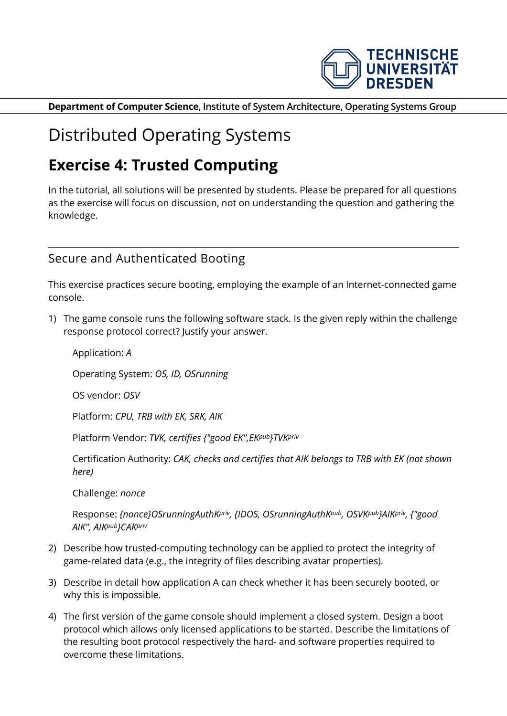

**Department of Computer Science, Institute of System Architecture, Operating Systems Group**

## Distributed Operating Systems

## **Exercise 4: Trusted Computing**

In the tutorial, all solutions will be presented by students. Please be prepared for all questions as the exercise will focus on discussion, not on understanding the question and gathering the knowledge.

## Secure and Authenticated Booting

This exercise practices secure booting, employing the example of an Internet-connected game console.

1) The game console runs the following software stack. Is the given reply within the challenge response protocol correct? Justify your answer.

Application: *A* Operating System: *OS, ID, OSrunning* OS vendor: *OSV* Platform: *CPU, TRB with EK, SRK, AIK* Platform Vendor: *TVK, certifies {"good EK",EKpub}TVKpriv* Certification Authority: *CAK, checks and certifies that AIK belongs to TRB with EK (not shown here)*

Challenge: *nonce*

Response: *{nonce}OSrunningAuthKpriv, {IDOS, OSrunningAuthKpub, OSVKpub}AIKpriv, {"good AIK", AIKpub}CAKpriv*

- 2) Describe how trusted-computing technology can be applied to protect the integrity of game-related data (e.g., the integrity of files describing avatar properties).
- 3) Describe in detail how application A can check whether it has been securely booted, or why this is impossible.
- 4) The first version of the game console should implement a closed system. Design a boot protocol which allows only licensed applications to be started. Describe the limitations of the resulting boot protocol respectively the hard- and software properties required to overcome these limitations.